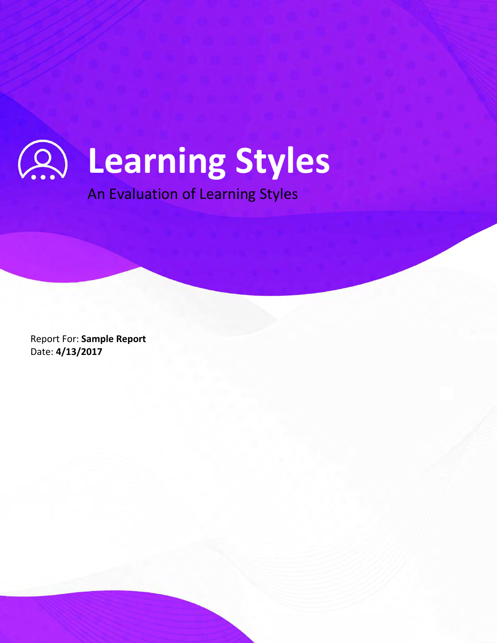# **Learning Styles**

An Evaluation of Learning Styles

Copyright © 2022 A24x7. All rights reserved. 1

Report For: **Sample Report** Date: **4/13/2017**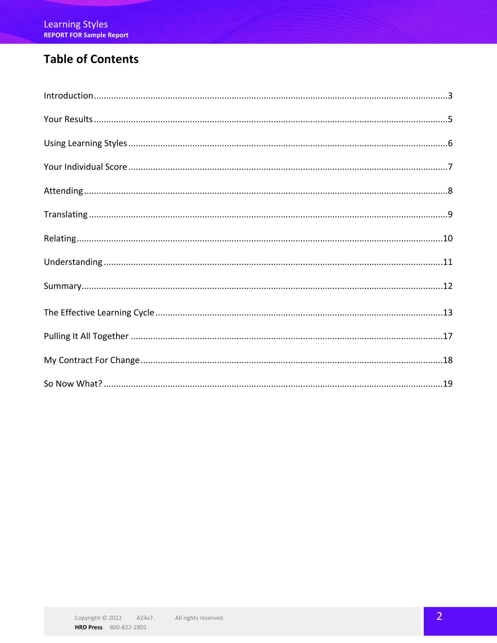## **Table of Contents**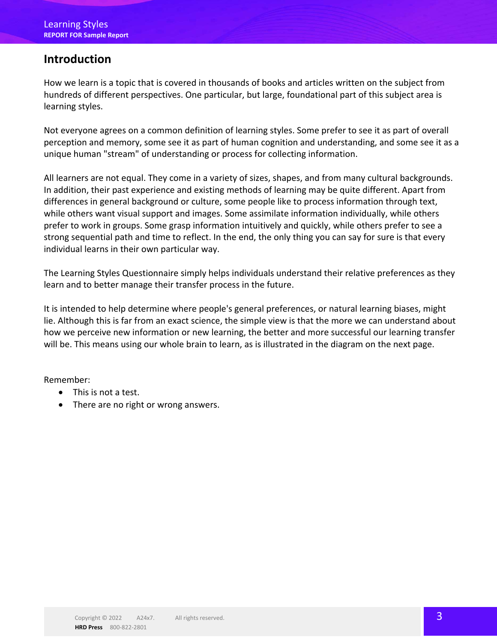## **Introduction**

How we learn is a topic that is covered in thousands of books and articles written on the subject from hundreds of different perspectives. One particular, but large, foundational part of this subject area is learning styles.

Not everyone agrees on a common definition of learning styles. Some prefer to see it as part of overall perception and memory, some see it as part of human cognition and understanding, and some see it as a unique human "stream" of understanding or process for collecting information.

All learners are not equal. They come in a variety of sizes, shapes, and from many cultural backgrounds. In addition, their past experience and existing methods of learning may be quite different. Apart from differences in general background or culture, some people like to process information through text, while others want visual support and images. Some assimilate information individually, while others prefer to work in groups. Some grasp information intuitively and quickly, while others prefer to see a strong sequential path and time to reflect. In the end, the only thing you can say for sure is that every individual learns in their own particular way.

The Learning Styles Questionnaire simply helps individuals understand their relative preferences as they learn and to better manage their transfer process in the future.

It is intended to help determine where people's general preferences, or natural learning biases, might lie. Although this is far from an exact science, the simple view is that the more we can understand about how we perceive new information or new learning, the better and more successful our learning transfer will be. This means using our whole brain to learn, as is illustrated in the diagram on the next page.

Remember:

- This is not a test.
- There are no right or wrong answers.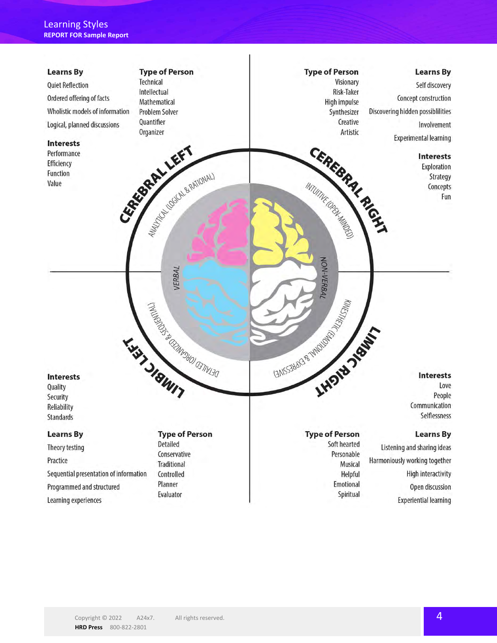

**HRD Press** 800-822-2801

Copyright © 2022 A24x7. All rights reserved. All rights reserved.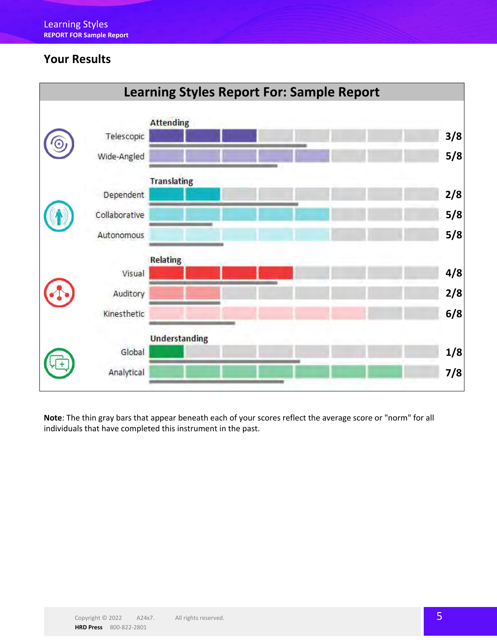## **Your Results**



**Note**: The thin gray bars that appear beneath each of your scores reflect the average score or "norm" for all individuals that have completed this instrument in the past.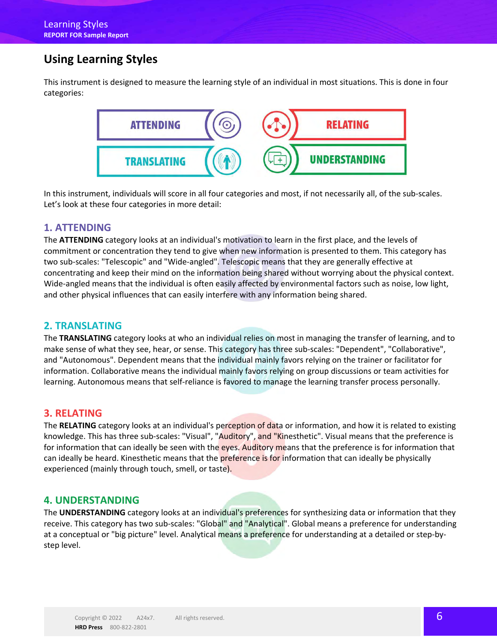## **Using Learning Styles**

This instrument is designed to measure the learning style of an individual in most situations. This is done in four categories:



In this instrument, individuals will score in all four categories and most, if not necessarily all, of the sub-scales. Let's look at these four categories in more detail:

#### **1. ATTENDING**

The **ATTENDING** category looks at an individual's motivation to learn in the first place, and the levels of commitment or concentration they tend to give when new information is presented to them. This category has two sub-scales: "Telescopic" and "Wide-angled". Telescopic means that they are generally effective at concentrating and keep their mind on the information being shared without worrying about the physical context. Wide-angled means that the individual is often easily affected by environmental factors such as noise, low light, and other physical influences that can easily interfere with any information being shared.

#### **2. TRANSLATING**

The **TRANSLATING** category looks at who an individual relies on most in managing the transfer of learning, and to make sense of what they see, hear, or sense. This category has three sub-scales: "Dependent", "Collaborative", and "Autonomous". Dependent means that the individual mainly favors relying on the trainer or facilitator for information. Collaborative means the individual mainly favors relying on group discussions or team activities for learning. Autonomous means that self-reliance is favored to manage the learning transfer process personally.

#### **3. RELATING**

The **RELATING** category looks at an individual's perception of data or information, and how it is related to existing knowledge. This has three sub-scales: "Visual", "Auditory", and "Kinesthetic". Visual means that the preference is for information that can ideally be seen with the eyes. Auditory means that the preference is for information that can ideally be heard. Kinesthetic means that the preference is for information that can ideally be physically experienced (mainly through touch, smell, or taste).

#### **4. UNDERSTANDING**

The **UNDERSTANDING** category looks at an individual's preferences for synthesizing data or information that they receive. This category has two sub-scales: "Global" and "Analytical". Global means a preference for understanding at a conceptual or "big picture" level. Analytical means a preference for understanding at a detailed or step-bystep level.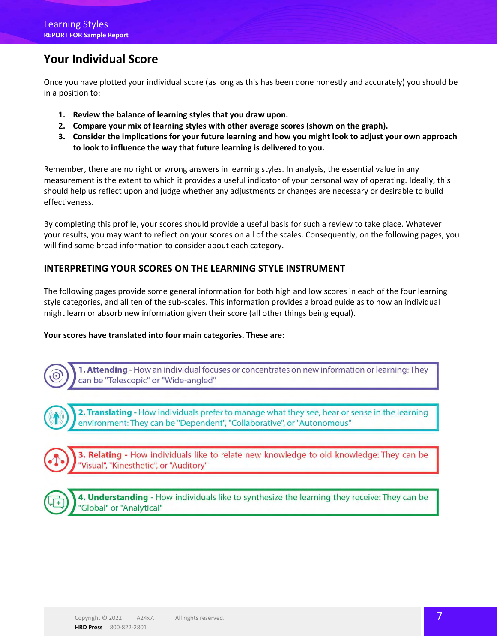## **Your Individual Score**

Once you have plotted your individual score (as long as this has been done honestly and accurately) you should be in a position to:

- **1. Review the balance of learning styles that you draw upon.**
- **2. Compare your mix of learning styles with other average scores (shown on the graph).**
- **3. Consider the implications for your future learning and how you might look to adjust your own approach to look to influence the way that future learning is delivered to you.**

Remember, there are no right or wrong answers in learning styles. In analysis, the essential value in any measurement is the extent to which it provides a useful indicator of your personal way of operating. Ideally, this should help us reflect upon and judge whether any adjustments or changes are necessary or desirable to build effectiveness.

By completing this profile, your scores should provide a useful basis for such a review to take place. Whatever your results, you may want to reflect on your scores on all of the scales. Consequently, on the following pages, you will find some broad information to consider about each category.

#### **INTERPRETING YOUR SCORES ON THE LEARNING STYLE INSTRUMENT**

The following pages provide some general information for both high and low scores in each of the four learning style categories, and all ten of the sub-scales. This information provides a broad guide as to how an individual might learn or absorb new information given their score (all other things being equal).

#### **Your scores have translated into four main categories. These are:**

1. Attending - How an individual focuses or concentrates on new information or learning: They can be "Telescopic" or "Wide-angled"

2. Translating - How individuals prefer to manage what they see, hear or sense in the learning environment: They can be "Dependent", "Collaborative", or "Autonomous"

3. Relating - How individuals like to relate new knowledge to old knowledge: They can be 'Visual", "Kinesthetic", or "Auditory"

4. Understanding - How individuals like to synthesize the learning they receive: They can be 'Global" or "Analytical"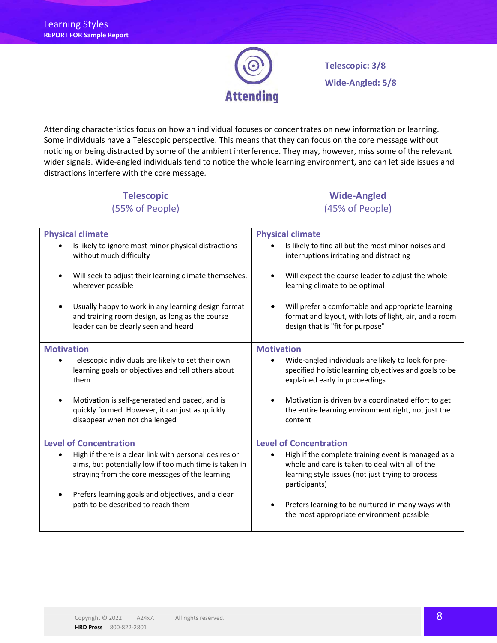

**Telescopic: 3/8 Wide-Angled: 5/8**

Attending characteristics focus on how an individual focuses or concentrates on new information or learning. Some individuals have a Telescopic perspective. This means that they can focus on the core message without noticing or being distracted by some of the ambient interference. They may, however, miss some of the relevant wider signals. Wide-angled individuals tend to notice the whole learning environment, and can let side issues and distractions interfere with the core message.

#### **Telescopic** (55% of People)

### **Wide-Angled** (45% of People)

| <b>Physical climate</b>                                                                                                                                             | <b>Physical climate</b>                                                                                                                                                      |  |
|---------------------------------------------------------------------------------------------------------------------------------------------------------------------|------------------------------------------------------------------------------------------------------------------------------------------------------------------------------|--|
| Is likely to ignore most minor physical distractions                                                                                                                | Is likely to find all but the most minor noises and                                                                                                                          |  |
| without much difficulty                                                                                                                                             | interruptions irritating and distracting                                                                                                                                     |  |
| Will seek to adjust their learning climate themselves,                                                                                                              | Will expect the course leader to adjust the whole                                                                                                                            |  |
| wherever possible                                                                                                                                                   | learning climate to be optimal                                                                                                                                               |  |
| Usually happy to work in any learning design format                                                                                                                 | Will prefer a comfortable and appropriate learning                                                                                                                           |  |
| and training room design, as long as the course                                                                                                                     | format and layout, with lots of light, air, and a room                                                                                                                       |  |
| leader can be clearly seen and heard                                                                                                                                | design that is "fit for purpose"                                                                                                                                             |  |
| <b>Motivation</b>                                                                                                                                                   | <b>Motivation</b>                                                                                                                                                            |  |
| Telescopic individuals are likely to set their own                                                                                                                  | Wide-angled individuals are likely to look for pre-                                                                                                                          |  |
| learning goals or objectives and tell others about                                                                                                                  | specified holistic learning objectives and goals to be                                                                                                                       |  |
| them                                                                                                                                                                | explained early in proceedings                                                                                                                                               |  |
| Motivation is self-generated and paced, and is<br>$\bullet$<br>quickly formed. However, it can just as quickly<br>disappear when not challenged                     | Motivation is driven by a coordinated effort to get<br>the entire learning environment right, not just the<br>content                                                        |  |
| <b>Level of Concentration</b>                                                                                                                                       | <b>Level of Concentration</b>                                                                                                                                                |  |
| High if there is a clear link with personal desires or<br>aims, but potentially low if too much time is taken in<br>straying from the core messages of the learning | High if the complete training event is managed as a<br>whole and care is taken to deal with all of the<br>learning style issues (not just trying to process<br>participants) |  |
| Prefers learning goals and objectives, and a clear                                                                                                                  | Prefers learning to be nurtured in many ways with                                                                                                                            |  |
| path to be described to reach them                                                                                                                                  | the most appropriate environment possible                                                                                                                                    |  |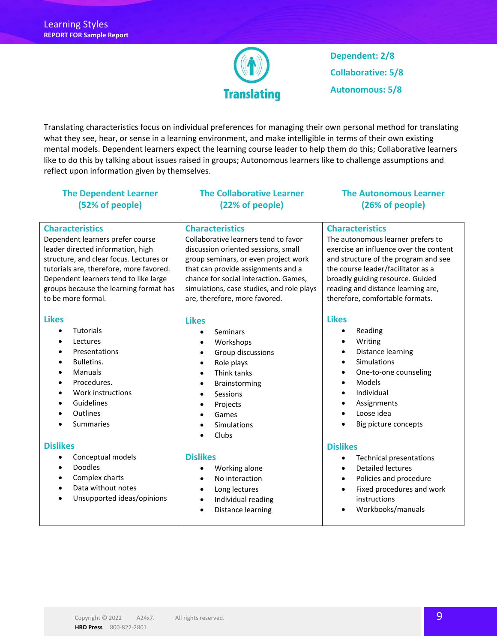

**Dependent: 2/8 Collaborative: 5/8 Autonomous: 5/8**

Translating characteristics focus on individual preferences for managing their own personal method for translating what they see, hear, or sense in a learning environment, and make intelligible in terms of their own existing mental models. Dependent learners expect the learning course leader to help them do this; Collaborative learners like to do this by talking about issues raised in groups; Autonomous learners like to challenge assumptions and reflect upon information given by themselves.

#### **The Dependent Learner (52% of people)**

#### **Characteristics**

Dependent learners prefer course leader directed information, high structure, and clear focus. Lectures or tutorials are, therefore, more favored. Dependent learners tend to like large groups because the learning format has to be more formal.

#### **Likes**

- Tutorials
- Lectures
- Presentations
- Bulletins.
- Manuals
- Procedures.
- Work instructions
- Guidelines
- **Outlines**
- Summaries

#### **Dislikes**

- Conceptual models
- Doodles
- Complex charts
- Data without notes
- Unsupported ideas/opinions

#### **The Collaborative Learner (22% of people)**

#### **Characteristics**

Collaborative learners tend to favor discussion oriented sessions, small group seminars, or even project work that can provide assignments and a chance for social interaction. Games, simulations, case studies, and role plays are, therefore, more favored.

#### **Likes**

- Seminars
- Workshops
- Group discussions
- Role plays
- Think tanks
- Brainstorming
- Sessions
- Projects
- Games
- Simulations
- Clubs

#### **Dislikes**

- Working alone
- No interaction
- Long lectures
- Individual reading
- Distance learning

#### **The Autonomous Learner (26% of people)**

#### **Characteristics**

The autonomous learner prefers to exercise an influence over the content and structure of the program and see the course leader/facilitator as a broadly guiding resource. Guided reading and distance learning are, therefore, comfortable formats.

#### **Likes**

- Reading
- Writing
- Distance learning
- Simulations
	- One-to-one counseling
- Models
- Individual
- Assignments
- Loose idea
- Big picture concepts

#### **Dislikes**

- Technical presentations
- Detailed lectures
- Policies and procedure
- Fixed procedures and work instructions
- Workbooks/manuals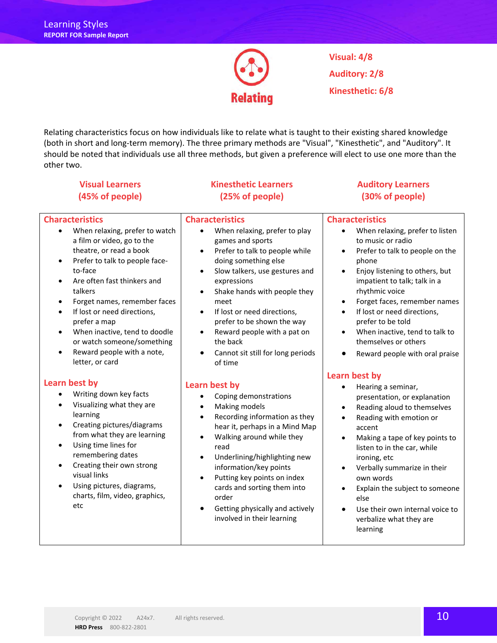

**Visual: 4/8 Auditory: 2/8 Kinesthetic: 6/8**

Relating characteristics focus on how individuals like to relate what is taught to their existing shared knowledge (both in short and long-term memory). The three primary methods are "Visual", "Kinesthetic", and "Auditory". It should be noted that individuals use all three methods, but given a preference will elect to use one more than the other two.

#### **Visual Learners (45% of people)**

#### **Characteristics**

- When relaxing, prefer to watch a film or video, go to the theatre, or read a book
- Prefer to talk to people faceto-face
- Are often fast thinkers and talkers
- Forget names, remember faces
- If lost or need directions, prefer a map
- When inactive, tend to doodle or watch someone/something
- Reward people with a note, letter, or card

#### **Learn best by**

- Writing down key facts
- Visualizing what they are learning
- Creating pictures/diagrams from what they are learning
- Using time lines for remembering dates
- Creating their own strong visual links
- Using pictures, diagrams, charts, film, video, graphics, etc

#### **Kinesthetic Learners (25% of people)**

#### **Characteristics**

- When relaxing, prefer to play games and sports
- Prefer to talk to people while doing something else
- Slow talkers, use gestures and expressions
- Shake hands with people they meet
- If lost or need directions, prefer to be shown the way
- Reward people with a pat on the back
- Cannot sit still for long periods of time

#### **Learn best by**

- Coping demonstrations
- Making models
- Recording information as they hear it, perhaps in a Mind Map
- Walking around while they read
- Underlining/highlighting new information/key points
- Putting key points on index cards and sorting them into order
- Getting physically and actively involved in their learning

#### **Auditory Learners (30% of people)**

#### **Characteristics**

- When relaxing, prefer to listen to music or radio
- Prefer to talk to people on the phone
- Enjoy listening to others, but impatient to talk; talk in a rhythmic voice
- Forget faces, remember names
- If lost or need directions, prefer to be told
- When inactive, tend to talk to themselves or others
- Reward people with oral praise

#### **Learn best by**

- Hearing a seminar, presentation, or explanation
- Reading aloud to themselves
- Reading with emotion or accent
- Making a tape of key points to listen to in the car, while ironing, etc
- Verbally summarize in their own words
- Explain the subject to someone else
- Use their own internal voice to verbalize what they are learning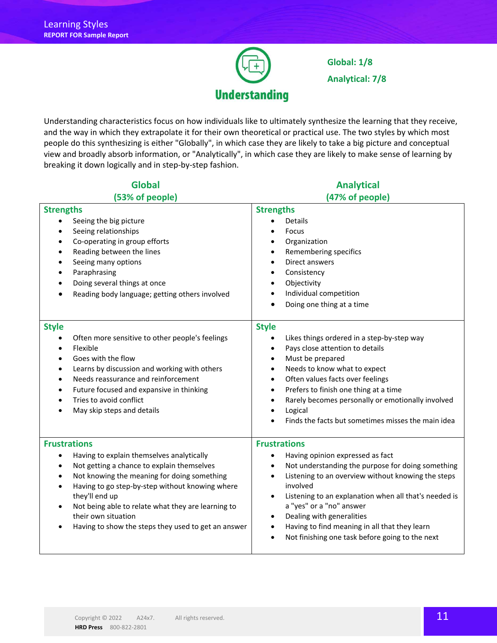

**Global: 1/8 Analytical: 7/8**

Understanding characteristics focus on how individuals like to ultimately synthesize the learning that they receive, and the way in which they extrapolate it for their own theoretical or practical use. The two styles by which most people do this synthesizing is either "Globally", in which case they are likely to take a big picture and conceptual view and broadly absorb information, or "Analytically", in which case they are likely to make sense of learning by breaking it down logically and in step-by-step fashion.

| <b>Global</b>                                                                                                                                                                                                                                                                                                                                                                                 | <b>Analytical</b>                                                                                                                                                                                                                                                                                                                                                                                                                                                                       |
|-----------------------------------------------------------------------------------------------------------------------------------------------------------------------------------------------------------------------------------------------------------------------------------------------------------------------------------------------------------------------------------------------|-----------------------------------------------------------------------------------------------------------------------------------------------------------------------------------------------------------------------------------------------------------------------------------------------------------------------------------------------------------------------------------------------------------------------------------------------------------------------------------------|
| (53% of people)                                                                                                                                                                                                                                                                                                                                                                               | (47% of people)                                                                                                                                                                                                                                                                                                                                                                                                                                                                         |
| <b>Strengths</b><br>Seeing the big picture<br>Seeing relationships<br>$\bullet$<br>Co-operating in group efforts<br>٠<br>Reading between the lines<br>٠<br>Seeing many options<br>$\bullet$<br>Paraphrasing<br>٠<br>Doing several things at once<br>Reading body language; getting others involved<br>$\bullet$                                                                               | <b>Strengths</b><br>Details<br>Focus<br>Organization<br>٠<br>Remembering specifics<br>$\bullet$<br>Direct answers<br>$\bullet$<br>Consistency<br>$\bullet$<br>Objectivity<br>$\bullet$<br>Individual competition<br>$\bullet$<br>Doing one thing at a time<br>$\bullet$                                                                                                                                                                                                                 |
| <b>Style</b><br>Often more sensitive to other people's feelings<br>$\bullet$<br>Flexible<br>$\bullet$<br>Goes with the flow<br>٠<br>Learns by discussion and working with others<br>$\bullet$<br>Needs reassurance and reinforcement<br>$\bullet$<br>Future focused and expansive in thinking<br>$\bullet$<br>Tries to avoid conflict<br>May skip steps and details                           | <b>Style</b><br>Likes things ordered in a step-by-step way<br>$\bullet$<br>Pays close attention to details<br>$\bullet$<br>Must be prepared<br>$\bullet$<br>Needs to know what to expect<br>$\bullet$<br>Often values facts over feelings<br>$\bullet$<br>Prefers to finish one thing at a time<br>$\bullet$<br>Rarely becomes personally or emotionally involved<br>$\bullet$<br>Logical<br>$\bullet$<br>Finds the facts but sometimes misses the main idea                            |
| <b>Frustrations</b><br>Having to explain themselves analytically<br>٠<br>Not getting a chance to explain themselves<br>٠<br>Not knowing the meaning for doing something<br>Having to go step-by-step without knowing where<br>they'll end up<br>Not being able to relate what they are learning to<br>$\bullet$<br>their own situation<br>Having to show the steps they used to get an answer | <b>Frustrations</b><br>Having opinion expressed as fact<br>٠<br>Not understanding the purpose for doing something<br>$\bullet$<br>Listening to an overview without knowing the steps<br>$\bullet$<br>involved<br>Listening to an explanation when all that's needed is<br>$\bullet$<br>a "yes" or a "no" answer<br>Dealing with generalities<br>$\bullet$<br>Having to find meaning in all that they learn<br>$\bullet$<br>Not finishing one task before going to the next<br>$\bullet$ |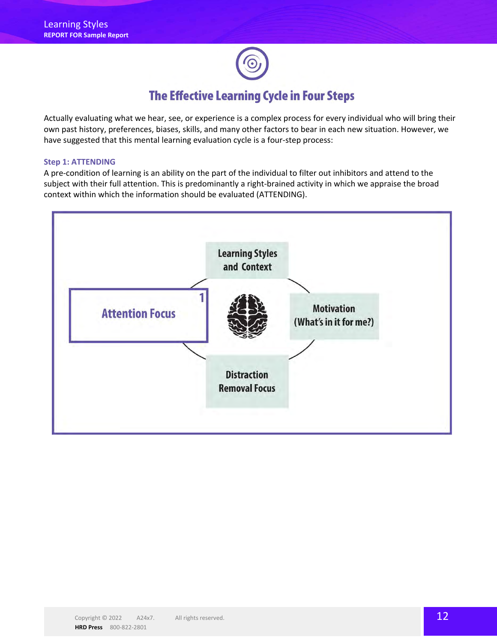Actually evaluating what we hear, see, or experience is a complex process for every individual who will bring their own past history, preferences, biases, skills, and many other factors to bear in each new situation. However, we have suggested that this mental learning evaluation cycle is a four-step process:

#### **Step 1: ATTENDING**

A pre-condition of learning is an ability on the part of the individual to filter out inhibitors and attend to the subject with their full attention. This is predominantly a right-brained activity in which we appraise the broad context within which the information should be evaluated (ATTENDING).

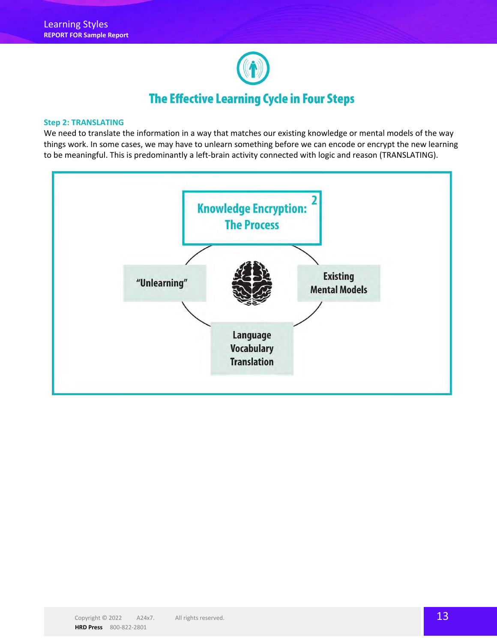

#### **Step 2: TRANSLATING**

We need to translate the information in a way that matches our existing knowledge or mental models of the way things work. In some cases, we may have to unlearn something before we can encode or encrypt the new learning to be meaningful. This is predominantly a left-brain activity connected with logic and reason (TRANSLATING).

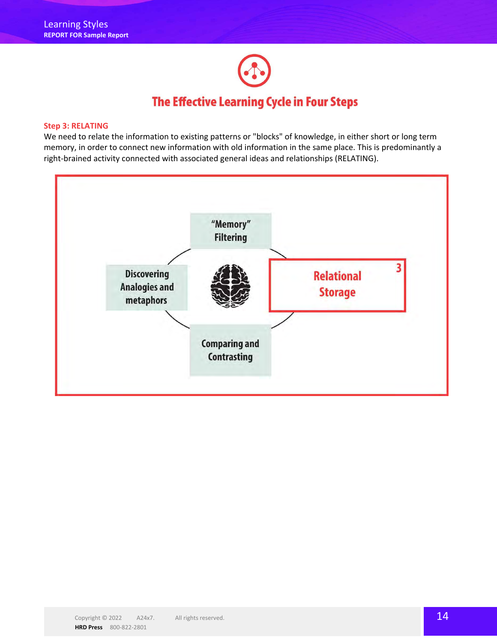

#### **Step 3: RELATING**

We need to relate the information to existing patterns or "blocks" of knowledge, in either short or long term memory, in order to connect new information with old information in the same place. This is predominantly a right-brained activity connected with associated general ideas and relationships (RELATING).

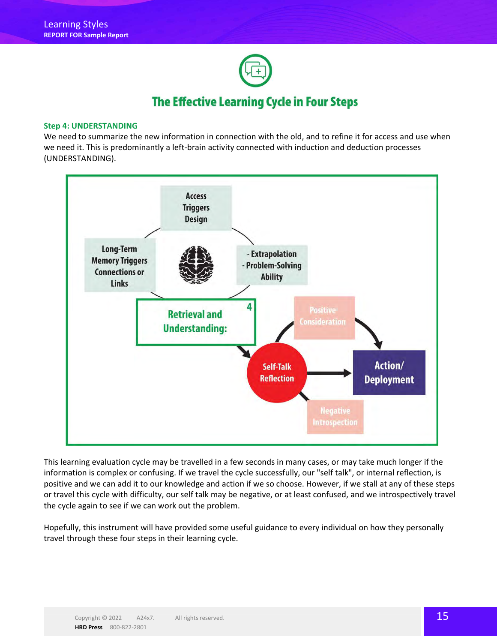

#### **Step 4: UNDERSTANDING**

We need to summarize the new information in connection with the old, and to refine it for access and use when we need it. This is predominantly a left-brain activity connected with induction and deduction processes (UNDERSTANDING).



This learning evaluation cycle may be travelled in a few seconds in many cases, or may take much longer if the information is complex or confusing. If we travel the cycle successfully, our "self talk", or internal reflection, is positive and we can add it to our knowledge and action if we so choose. However, if we stall at any of these steps or travel this cycle with difficulty, our self talk may be negative, or at least confused, and we introspectively travel the cycle again to see if we can work out the problem.

Hopefully, this instrument will have provided some useful guidance to every individual on how they personally travel through these four steps in their learning cycle.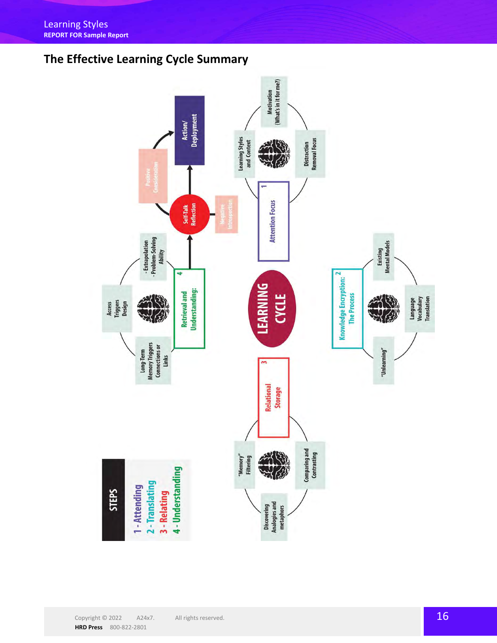## **The Effective Learning Cycle Summary**

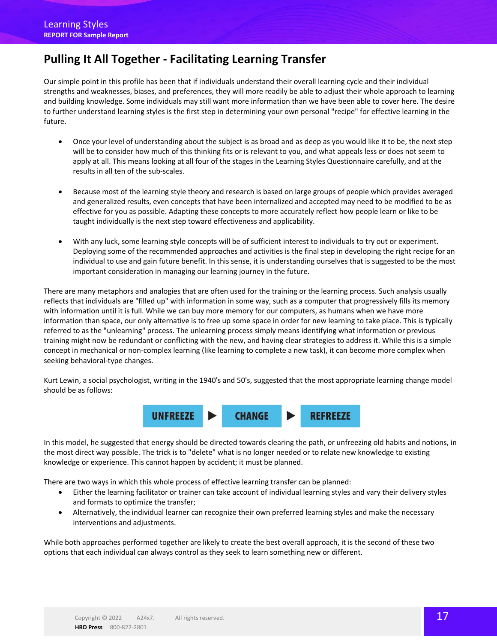## **Pulling It All Together - Facilitating Learning Transfer**

Our simple point in this profile has been that if individuals understand their overall learning cycle and their individual strengths and weaknesses, biases, and preferences, they will more readily be able to adjust their whole approach to learning and building knowledge. Some individuals may still want more information than we have been able to cover here. The desire to further understand learning styles is the first step in determining your own personal "recipe" for effective learning in the future.

- Once your level of understanding about the subject is as broad and as deep as you would like it to be, the next step will be to consider how much of this thinking fits or is relevant to you, and what appeals less or does not seem to apply at all. This means looking at all four of the stages in the Learning Styles Questionnaire carefully, and at the results in all ten of the sub-scales.
- Because most of the learning style theory and research is based on large groups of people which provides averaged and generalized results, even concepts that have been internalized and accepted may need to be modified to be as effective for you as possible. Adapting these concepts to more accurately reflect how people learn or like to be taught individually is the next step toward effectiveness and applicability.
- With any luck, some learning style concepts will be of sufficient interest to individuals to try out or experiment. Deploying some of the recommended approaches and activities is the final step in developing the right recipe for an individual to use and gain future benefit. In this sense, it is understanding ourselves that is suggested to be the most important consideration in managing our learning journey in the future.

There are many metaphors and analogies that are often used for the training or the learning process. Such analysis usually reflects that individuals are "filled up" with information in some way, such as a computer that progressively fills its memory with information until it is full. While we can buy more memory for our computers, as humans when we have more information than space, our only alternative is to free up some space in order for new learning to take place. This is typically referred to as the "unlearning" process. The unlearning process simply means identifying what information or previous training might now be redundant or conflicting with the new, and having clear strategies to address it. While this is a simple concept in mechanical or non-complex learning (like learning to complete a new task), it can become more complex when seeking behavioral-type changes.

Kurt Lewin, a social psychologist, writing in the 1940's and 50's, suggested that the most appropriate learning change model should be as follows:



In this model, he suggested that energy should be directed towards clearing the path, or unfreezing old habits and notions, in the most direct way possible. The trick is to "delete" what is no longer needed or to relate new knowledge to existing knowledge or experience. This cannot happen by accident; it must be planned.

There are two ways in which this whole process of effective learning transfer can be planned:

- Either the learning facilitator or trainer can take account of individual learning styles and vary their delivery styles and formats to optimize the transfer;
- Alternatively, the individual learner can recognize their own preferred learning styles and make the necessary interventions and adjustments.

While both approaches performed together are likely to create the best overall approach, it is the second of these two options that each individual can always control as they seek to learn something new or different.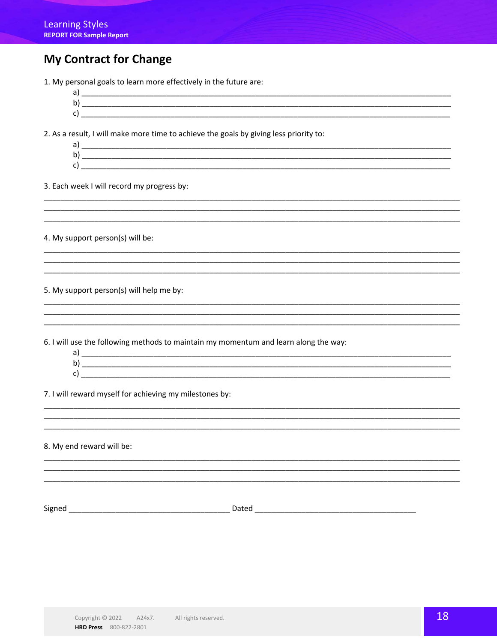## **My Contract for Change**

1. My personal goals to learn more effectively in the future are:

 $\mathsf{C}$ 

2. As a result, I will make more time to achieve the goals by giving less priority to:

 $c)$   $\overline{\phantom{a}}$ 

3. Each week I will record my progress by:

4. My support person(s) will be:

5. My support person(s) will help me by:

6. I will use the following methods to maintain my momentum and learn along the way:

| a) |  |
|----|--|
| b) |  |
| C) |  |
|    |  |

7. I will reward myself for achieving my milestones by:

8. My end reward will be: